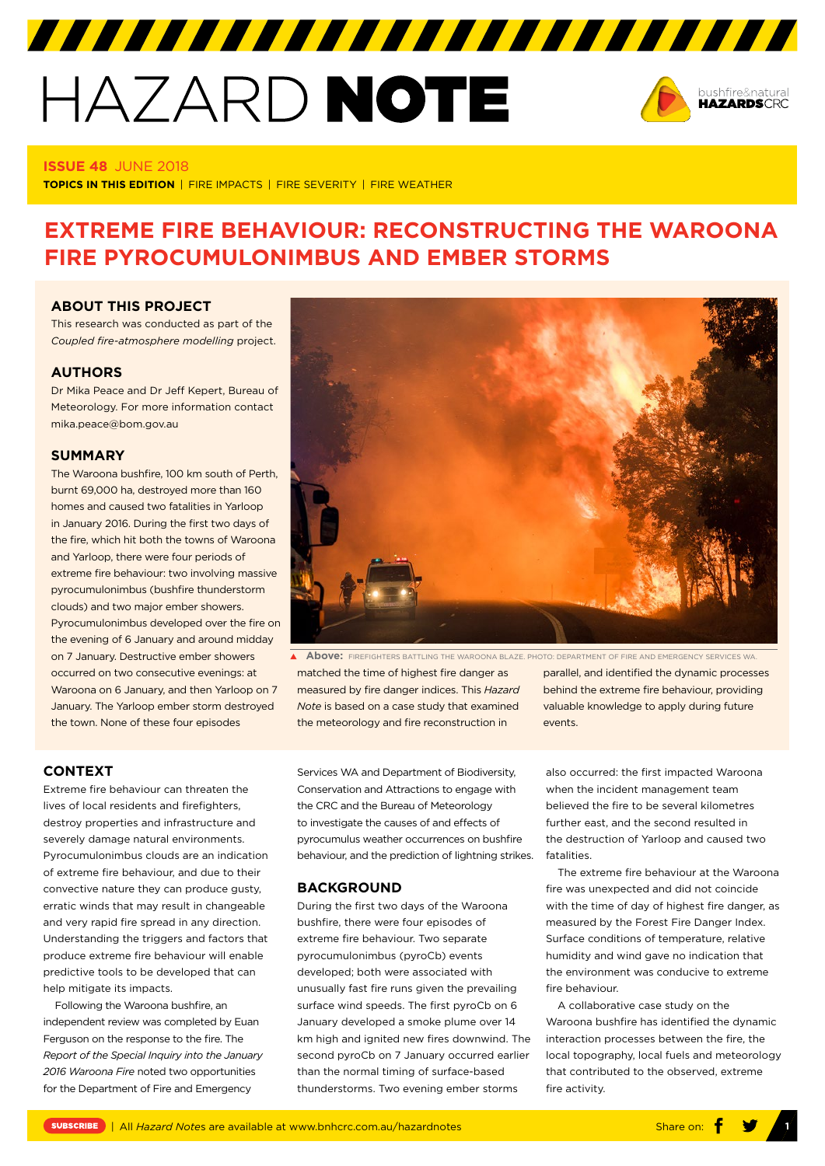# HAZARD NOTE



#### **ISSUE 48** JUNE 2018

**TOPICS IN THIS EDITION** | FIRE IMPACTS | FIRE SEVERITY | FIRE WEATHER

# **EXTREME FIRE BEHAVIOUR: RECONSTRUCTING THE WAROONA FIRE PYROCUMULONIMBUS AND EMBER STORMS**

#### **ABOUT THIS PROJECT**

This research was conducted as part of the *Coupled fire-atmosphere modelling* project.

## **AUTHORS**

Dr Mika Peace and Dr Jeff Kepert, Bureau of Meteorology. For more information contact mika.peace@bom.gov.au

#### **SUMMARY**

The Waroona bushfire, 100 km south of Perth, burnt 69,000 ha, destroyed more than 160 homes and caused two fatalities in Yarloop in January 2016. During the first two days of the fire, which hit both the towns of Waroona and Yarloop, there were four periods of extreme fire behaviour: two involving massive pyrocumulonimbus (bushfire thunderstorm clouds) and two major ember showers. Pyrocumulonimbus developed over the fire on the evening of 6 January and around midday on 7 January. Destructive ember showers occurred on two consecutive evenings: at Waroona on 6 January, and then Yarloop on 7 January. The Yarloop ember storm destroyed the town. None of these four episodes



matched the time of highest fire danger as measured by fire danger indices. This *Hazard Note* is based on a case study that examined the meteorology and fire reconstruction in **Above:** FIREFIGHTERS BATTLING THE WAROONA BLAZE. PHOTO: DEPARTMENT OF FIRE AND EMERGENCY SERVICES WA.

#### **CONTEXT**

Extreme fire behaviour can threaten the lives of local residents and firefighters, destroy properties and infrastructure and severely damage natural environments. Pyrocumulonimbus clouds are an indication of extreme fire behaviour, and due to their convective nature they can produce gusty, erratic winds that may result in changeable and very rapid fire spread in any direction. Understanding the triggers and factors that produce extreme fire behaviour will enable predictive tools to be developed that can help mitigate its impacts.

Following the Waroona bushfire, an independent review was completed by Euan Ferguson on the response to the fire. The *Report of the Special Inquiry into the January 2016 Waroona Fire* noted two opportunities for the Department of Fire and Emergency

Services WA and Department of Biodiversity, Conservation and Attractions to engage with the CRC and the Bureau of Meteorology to investigate the causes of and effects of pyrocumulus weather occurrences on bushfire behaviour, and the prediction of lightning strikes.

#### **BACKGROUND**

During the first two days of the Waroona bushfire, there were four episodes of extreme fire behaviour. Two separate pyrocumulonimbus (pyroCb) events developed; both were associated with unusually fast fire runs given the prevailing surface wind speeds. The first pyroCb on 6 January developed a smoke plume over 14 km high and ignited new fires downwind. The second pyroCb on 7 January occurred earlier than the normal timing of surface-based thunderstorms. Two evening ember storms

parallel, and identified the dynamic processes behind the extreme fire behaviour, providing valuable knowledge to apply during future events.

also occurred: the first impacted Waroona when the incident management team believed the fire to be several kilometres further east, and the second resulted in the destruction of Yarloop and caused two fatalities.

The extreme fire behaviour at the Waroona fire was unexpected and did not coincide with the time of day of highest fire danger, as measured by the Forest Fire Danger Index. Surface conditions of temperature, relative humidity and wind gave no indication that the environment was conducive to extreme fire behaviour.

A collaborative case study on the Waroona bushfire has identified the dynamic interaction processes between the fire, the local topography, local fuels and meteorology that contributed to the observed, extreme fire activity.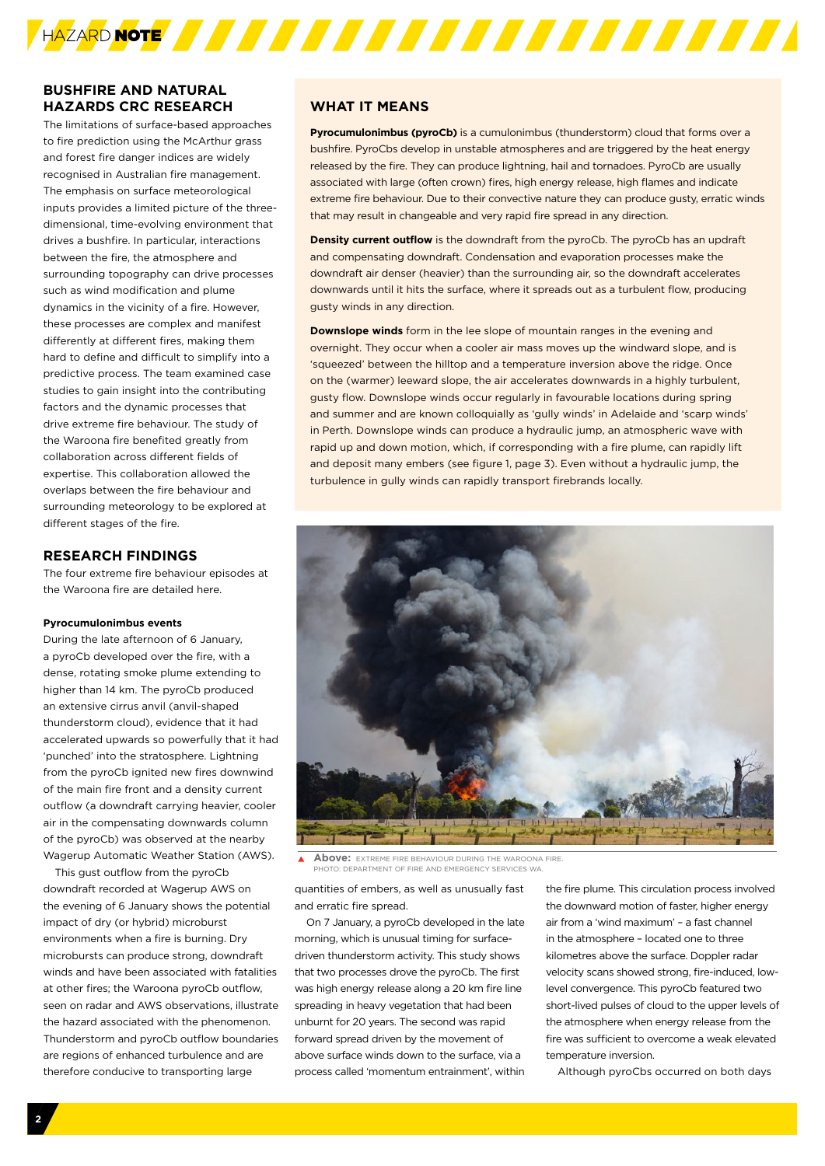

# **BUSHFIRE AND NATURAL HAZARDS CRC RESEARCH**

The limitations of surface-based approaches to fire prediction using the McArthur grass and forest fire danger indices are widely recognised in Australian fire management. The emphasis on surface meteorological inputs provides a limited picture of the threedimensional, time-evolving environment that drives a bushfire. In particular, interactions between the fire, the atmosphere and surrounding topography can drive processes such as wind modification and plume dynamics in the vicinity of a fire. However, these processes are complex and manifest differently at different fires, making them hard to define and difficult to simplify into a predictive process. The team examined case studies to gain insight into the contributing factors and the dynamic processes that drive extreme fire behaviour. The study of the Waroona fire benefited greatly from collaboration across different fields of expertise. This collaboration allowed the overlaps between the fire behaviour and surrounding meteorology to be explored at different stages of the fire.

#### **RESEARCH FINDINGS**

The four extreme fire behaviour episodes at the Waroona fire are detailed here.

#### **Pyrocumulonimbus events**

During the late afternoon of 6 January, a pyroCb developed over the fire, with a dense, rotating smoke plume extending to higher than 14 km. The pyroCb produced an extensive cirrus anvil (anvil-shaped thunderstorm cloud), evidence that it had accelerated upwards so powerfully that it had 'punched' into the stratosphere. Lightning from the pyroCb ignited new fires downwind of the main fire front and a density current outflow (a downdraft carrying heavier, cooler air in the compensating downwards column of the pyroCb) was observed at the nearby Wagerup Automatic Weather Station (AWS).

This gust outflow from the pyroCb downdraft recorded at Wagerup AWS on the evening of 6 January shows the potential impact of dry (or hybrid) microburst environments when a fire is burning. Dry microbursts can produce strong, downdraft winds and have been associated with fatalities at other fires; the Waroona pyroCb outflow, seen on radar and AWS observations, illustrate the hazard associated with the phenomenon. Thunderstorm and pyroCb outflow boundaries are regions of enhanced turbulence and are therefore conducive to transporting large

# **WHAT IT MEANS**

**Pyrocumulonimbus (pyroCb)** is a cumulonimbus (thunderstorm) cloud that forms over a bushfire. PyroCbs develop in unstable atmospheres and are triggered by the heat energy released by the fire. They can produce lightning, hail and tornadoes. PyroCb are usually associated with large (often crown) fires, high energy release, high flames and indicate extreme fire behaviour. Due to their convective nature they can produce gusty, erratic winds that may result in changeable and very rapid fire spread in any direction.

**Density current outflow** is the downdraft from the pyroCb. The pyroCb has an updraft and compensating downdraft. Condensation and evaporation processes make the downdraft air denser (heavier) than the surrounding air, so the downdraft accelerates downwards until it hits the surface, where it spreads out as a turbulent flow, producing gusty winds in any direction.

**Downslope winds** form in the lee slope of mountain ranges in the evening and overnight. They occur when a cooler air mass moves up the windward slope, and is 'squeezed' between the hilltop and a temperature inversion above the ridge. Once on the (warmer) leeward slope, the air accelerates downwards in a highly turbulent, gusty flow. Downslope winds occur regularly in favourable locations during spring and summer and are known colloquially as 'gully winds' in Adelaide and 'scarp winds' in Perth. Downslope winds can produce a hydraulic jump, an atmospheric wave with rapid up and down motion, which, if corresponding with a fire plume, can rapidly lift and deposit many embers (see figure 1, page 3). Even without a hydraulic jump, the turbulence in gully winds can rapidly transport firebrands locally.



**Above:** EXTREME FIRE BEHAVIOUR DURING THE WAROONA FIRE. **PHOTOSIT OF FIRE AND EMERGENCY** 

quantities of embers, as well as unusually fast and erratic fire spread.

On 7 January, a pyroCb developed in the late morning, which is unusual timing for surfacedriven thunderstorm activity. This study shows that two processes drove the pyroCb. The first was high energy release along a 20 km fire line spreading in heavy vegetation that had been unburnt for 20 years. The second was rapid forward spread driven by the movement of above surface winds down to the surface, via a process called 'momentum entrainment', within

the fire plume. This circulation process involved the downward motion of faster, higher energy air from a 'wind maximum' – a fast channel in the atmosphere – located one to three kilometres above the surface. Doppler radar velocity scans showed strong, fire-induced, lowlevel convergence. This pyroCb featured two short-lived pulses of cloud to the upper levels of the atmosphere when energy release from the fire was sufficient to overcome a weak elevated temperature inversion.

Although pyroCbs occurred on both days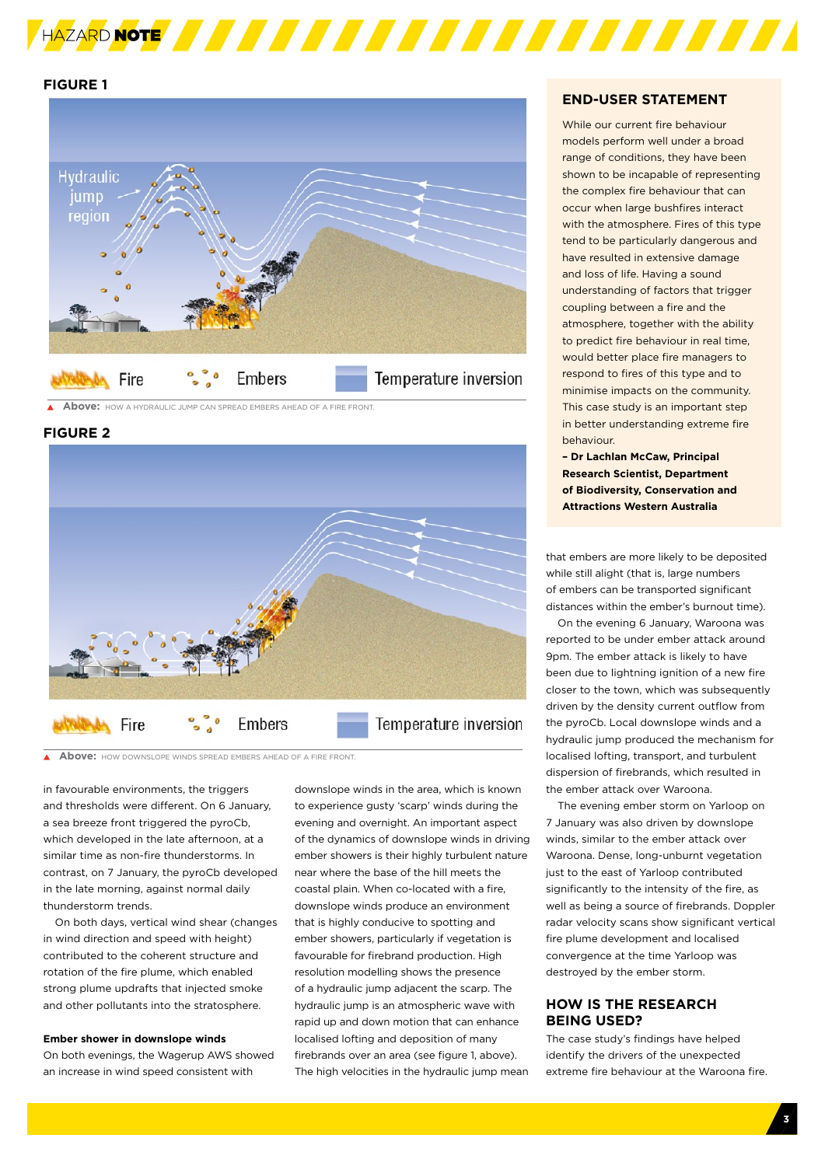

# **FIGURE 1**



**Above:** HOW A HYDRAULIC JUMP CAN SPREAD EMBERS AHEAD OF A FIRE FRONT.

# **FIGURE 2**



**Above:** HOW DOWNSLOPE WINDS SPREAD EMBERS AHEAD OF A FIRE FRONT.

in favourable environments, the triggers and thresholds were different. On 6 January, a sea breeze front triggered the pyroCb, which developed in the late afternoon, at a similar time as non-fire thunderstorms. In contrast, on 7 January, the pyroCb developed in the late morning, against normal daily thunderstorm trends.

On both days, vertical wind shear (changes in wind direction and speed with height) contributed to the coherent structure and rotation of the fire plume, which enabled strong plume updrafts that injected smoke and other pollutants into the stratosphere.

#### **Ember shower in downslope winds**

On both evenings, the Wagerup AWS showed an increase in wind speed consistent with

downslope winds in the area, which is known to experience gusty 'scarp' winds during the evening and overnight. An important aspect of the dynamics of downslope winds in driving ember showers is their highly turbulent nature near where the base of the hill meets the coastal plain. When co-located with a fire, downslope winds produce an environment that is highly conducive to spotting and ember showers, particularly if vegetation is favourable for firebrand production. High resolution modelling shows the presence of a hydraulic jump adjacent the scarp. The hydraulic jump is an atmospheric wave with rapid up and down motion that can enhance localised lofting and deposition of many firebrands over an area (see figure 1, above). The high velocities in the hydraulic jump mean

#### **END-USER STATEMENT**

While our current fire behaviour models perform well under a broad range of conditions, they have been shown to be incapable of representing the complex fire behaviour that can occur when large bushfires interact with the atmosphere. Fires of this type tend to be particularly dangerous and have resulted in extensive damage and loss of life. Having a sound understanding of factors that trigger coupling between a fire and the atmosphere, together with the ability to predict fire behaviour in real time, would better place fire managers to respond to fires of this type and to minimise impacts on the community. This case study is an important step in better understanding extreme fire behaviour.

**– Dr Lachlan McCaw, Principal Research Scientist, Department of Biodiversity, Conservation and Attractions Western Australia** 

that embers are more likely to be deposited while still alight (that is, large numbers of embers can be transported significant distances within the ember's burnout time).

On the evening 6 January, Waroona was reported to be under ember attack around 9pm. The ember attack is likely to have been due to lightning ignition of a new fire closer to the town, which was subsequently driven by the density current outflow from the pyroCb. Local downslope winds and a hydraulic jump produced the mechanism for localised lofting, transport, and turbulent dispersion of firebrands, which resulted in the ember attack over Waroona.

The evening ember storm on Yarloop on 7 January was also driven by downslope winds, similar to the ember attack over Waroona. Dense, long-unburnt vegetation just to the east of Yarloop contributed significantly to the intensity of the fire, as well as being a source of firebrands. Doppler radar velocity scans show significant vertical fire plume development and localised convergence at the time Yarloop was destroyed by the ember storm.

# **HOW IS THE RESEARCH BEING USED?**

The case study's findings have helped identify the drivers of the unexpected extreme fire behaviour at the Waroona fire.